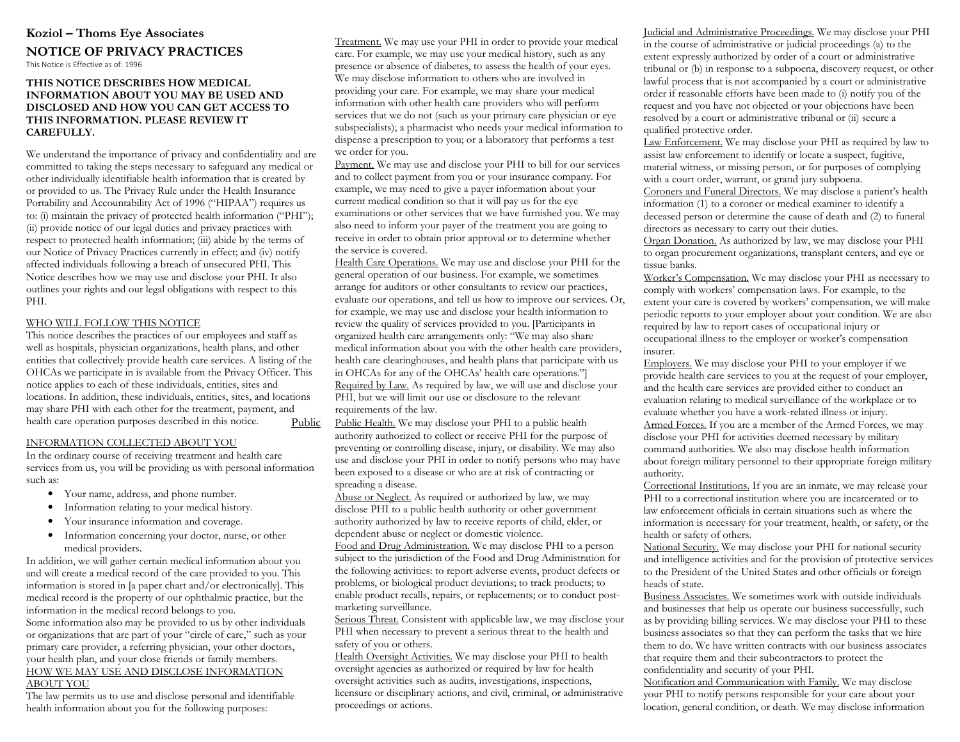# **Koziol – Thoms Eye Associates**

# **NOTICE OF PRIVACY PRACTICES**

This Notice is Effective as of: 1996

## **THIS NOTICE DESCRIBES HOW MEDICAL INFORMATION ABOUT YOU MAY BE USED AND DISCLOSED AND HOW YOU CAN GET ACCESS TO THIS INFORMATION. PLEASE REVIEW IT CAREFULLY.**

We understand the importance of privacy and confidentiality and are committed to taking the steps necessary to safeguard any medical or other individually identifiable health information that is created by or provided to us. The Privacy Rule under the Health Insurance Portability and Accountability Act of 1996 ("HIPAA") requires us to: (i) maintain the privacy of protected health information ("PHI"); (ii) provide notice of our legal duties and privacy practices with respect to protected health information; (iii) abide by the terms of our Notice of Privacy Practices currently in effect; and (iv) notify affected individuals following a breach of unsecured PHI. This Notice describes how we may use and disclose your PHI. It also outlines your rights and our legal obligations with respect to this PHI.

## WHO WILL FOLLOW THIS NOTICE

 This notice describes the practices of our employees and staff as well as hospitals, physician organizations, health plans, and other entities that collectively provide health care services. A listing of the OHCAs we participate in is available from the Privacy Officer. This notice applies to each of these individuals, entities, sites and locations. In addition, these individuals, entities, sites, and locations may share PHI with each other for the treatment, payment, and health care operation purposes described in this notice. Public

## INFORMATION COLLECTED ABOUT YOU

 In the ordinary course of receiving treatment and health care services from us, you will be providing us with personal information such as:

- Your name, address, and phone number.
- •Information relating to your medical history.
- •Your insurance information and coverage.
- • Information concerning your doctor, nurse, or other medical providers.

In addition, we will gather certain medical information about you and will create a medical record of the care provided to you. This information is stored in [a paper chart and/or electronically]. This medical record is the property of our ophthalmic practice, but the information in the medical record belongs to you.

Some information also may be provided to us by other individuals or organizations that are part of your "circle of care," such as your primary care provider, a referring physician, your other doctors, your health plan, and your close friends or family members. HOW WE MAY USE AND DISCLOSE INFORMATION ABOUT YOU

 The law permits us to use and disclose personal and identifiable health information about you for the following purposes:

Treatment. We may use your PHI in order to provide your medical care. For example, we may use your medical history, such as any presence or absence of diabetes, to assess the health of your eyes. We may disclose information to others who are involved in providing your care. For example, we may share your medical information with other health care providers who will perform services that we do not (such as your primary care physician or eye subspecialists); a pharmacist who needs your medical information to dispense a prescription to you; or a laboratory that performs a test we order for you.

Payment. We may use and disclose your PHI to bill for our services and to collect payment from you or your insurance company. For example, we may need to give a payer information about your current medical condition so that it will pay us for the eye examinations or other services that we have furnished you. We may also need to inform your payer of the treatment you are going to receive in order to obtain prior approval or to determine whether the service is covered.

Health Care Operations. We may use and disclose your PHI for the general operation of our business. For example, we sometimes arrange for auditors or other consultants to review our practices, evaluate our operations, and tell us how to improve our services. Or, for example, we may use and disclose your health information to review the quality of services provided to you. [Participants in organized health care arrangements only: "We may also share medical information about you with the other health care providers, health care clearinghouses, and health plans that participate with us in OHCAs for any of the OHCAs' health care operations."] Required by Law. As required by law, we will use and disclose your PHI, but we will limit our use or disclosure to the relevant requirements of the law.

 Public Health. We may disclose your PHI to a public health authority authorized to collect or receive PHI for the purpose of preventing or controlling disease, injury, or disability. We may also use and disclose your PHI in order to notify persons who may have been exposed to a disease or who are at risk of contracting or spreading a disease.

 Abuse or Neglect. As required or authorized by law, we may disclose PHI to a public health authority or other government authority authorized by law to receive reports of child, elder, or dependent abuse or neglect or domestic violence.

 Food and Drug Administration. We may disclose PHI to a person subject to the jurisdiction of the Food and Drug Administration for the following activities: to report adverse events, product defects or problems, or biological product deviations; to track products; to enable product recalls, repairs, or replacements; or to conduct postmarketing surveillance.

Serious Threat. Consistent with applicable law, we may disclose your PHI when necessary to prevent a serious threat to the health and safety of you or others.

Health Oversight Activities. We may disclose your PHI to health oversight agencies as authorized or required by law for health oversight activities such as audits, investigations, inspections, licensure or disciplinary actions, and civil, criminal, or administrative proceedings or actions.

Judicial and Administrative Proceedings. We may disclose your PHI in the course of administrative or judicial proceedings (a) to the extent expressly authorized by order of a court or administrative tribunal or (b) in response to a subpoena, discovery request, or other lawful process that is not accompanied by a court or administrative order if reasonable efforts have been made to (i) notify you of the request and you have not objected or your objections have been resolved by a court or administrative tribunal or (ii) secure a qualified protective order.

Law Enforcement. We may disclose your PHI as required by law to assist law enforcement to identify or locate a suspect, fugitive, material witness, or missing person, or for purposes of complying with a court order, warrant, or grand jury subpoena.

Coroners and Funeral Directors. We may disclose a patient's health information (1) to a coroner or medical examiner to identify a deceased person or determine the cause of death and (2) to funeral directors as necessary to carry out their duties.

 Organ Donation. As authorized by law, we may disclose your PHI to organ procurement organizations, transplant centers, and eye or tissue banks.

 Worker's Compensation. We may disclose your PHI as necessary to comply with workers' compensation laws. For example, to the extent your care is covered by workers' compensation, we will make periodic reports to your employer about your condition. We are also required by law to report cases of occupational injury or occupational illness to the employer or worker's compensation insurer.

Employers. We may disclose your PHI to your employer if we provide health care services to you at the request of your employer, and the health care services are provided either to conduct an evaluation relating to medical surveillance of the workplace or to evaluate whether you have a work-related illness or injury. Armed Forces. If you are a member of the Armed Forces, we may disclose your PHI for activities deemed necessary by military command authorities. We also may disclose health information about foreign military personnel to their appropriate foreign military authority.

 Correctional Institutions. If you are an inmate, we may release your PHI to a correctional institution where you are incarcerated or to law enforcement officials in certain situations such as where the information is necessary for your treatment, health, or safety, or the health or safety of others.

National Security. We may disclose your PHI for national security and intelligence activities and for the provision of protective services to the President of the United States and other officials or foreign heads of state.

 Business Associates. We sometimes work with outside individuals and businesses that help us operate our business successfully, such as by providing billing services. We may disclose your PHI to these business associates so that they can perform the tasks that we hire them to do. We have written contracts with our business associates that require them and their subcontractors to protect the confidentiality and security of your PHI.

Notification and Communication with Family. We may disclose your PHI to notify persons responsible for your care about your location, general condition, or death. We may disclose information